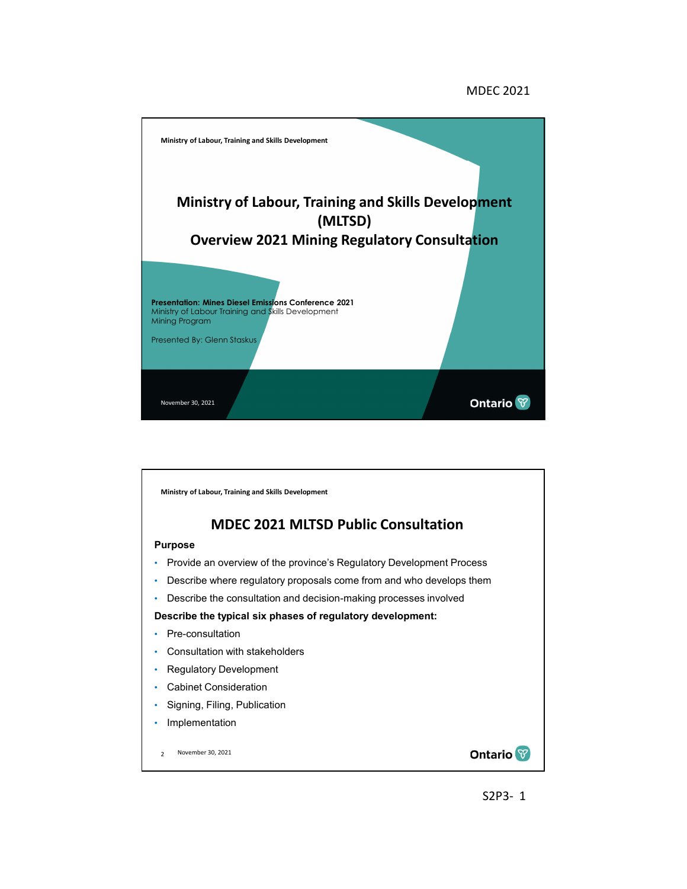### MDEC 2021



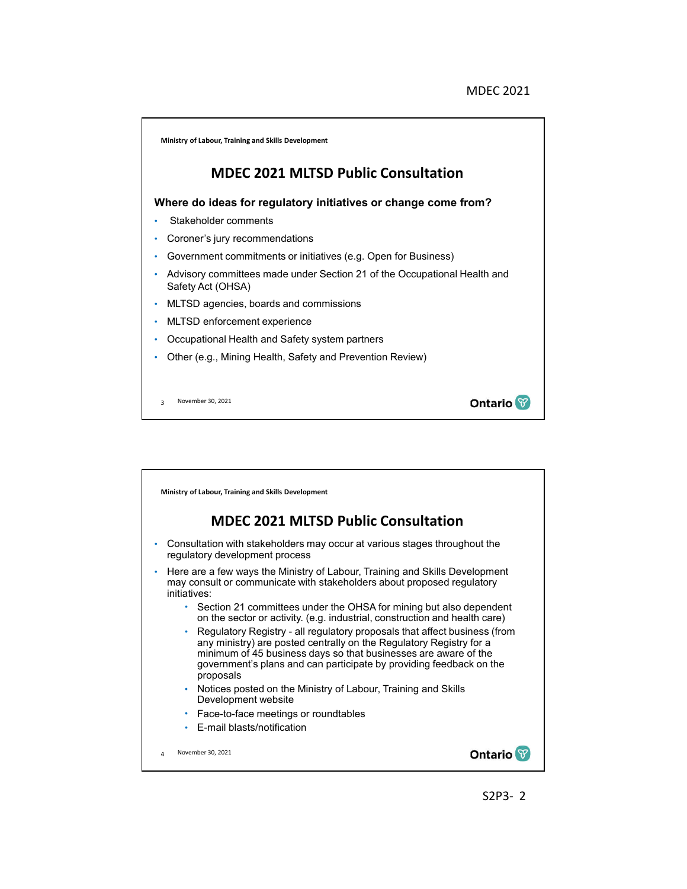

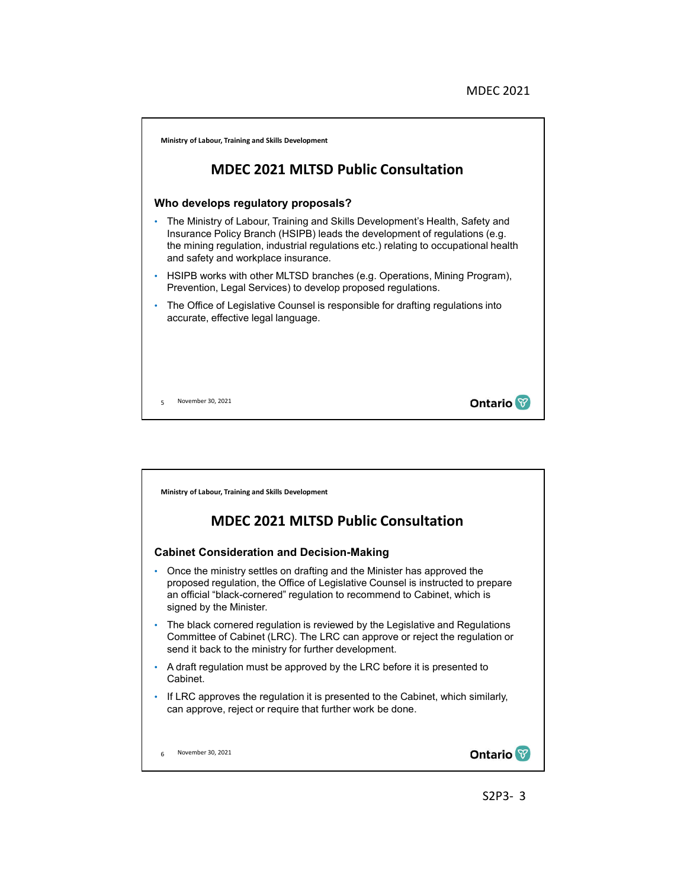

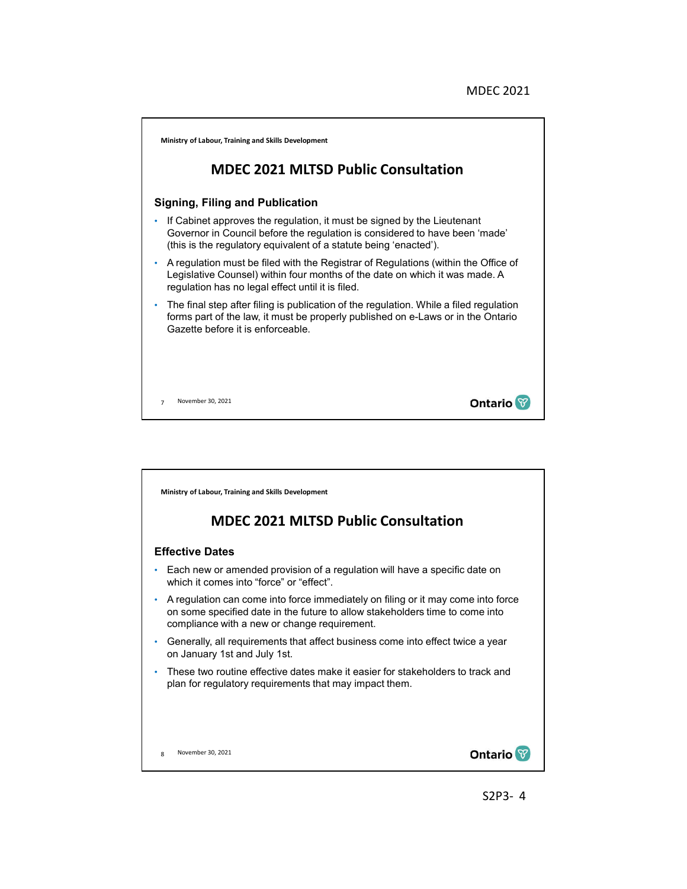

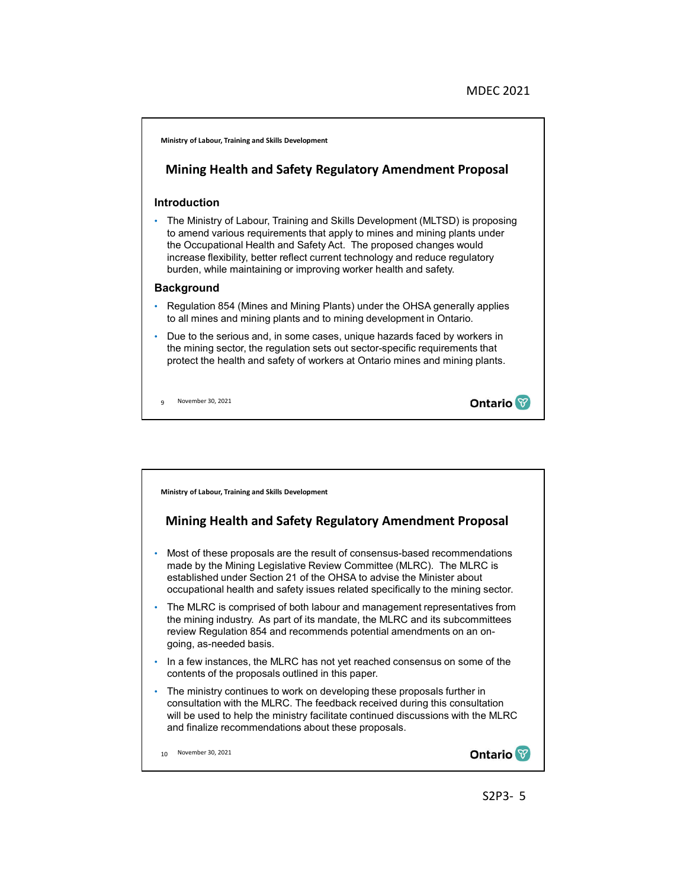

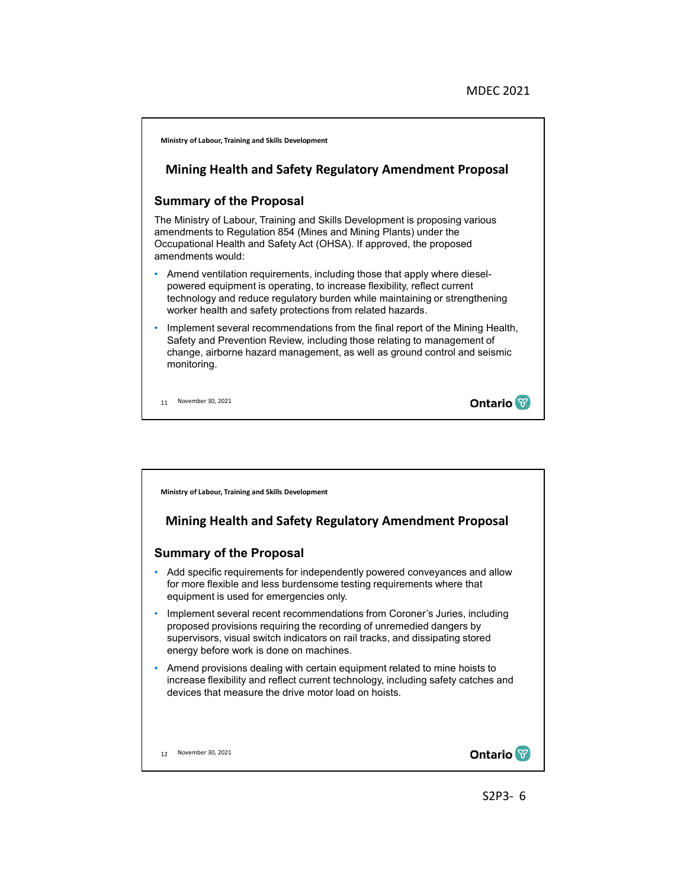

**Ministry of Labour, Training and Skills Development**

# **Mining Health and Safety Regulatory Amendment Proposal**

### **Summary of the Proposal**

- Add specific requirements for independently powered conveyances and allow for more flexible and less burdensome testing requirements where that equipment is used for emergencies only.
- Implement several recent recommendations from Coroner's Juries, including proposed provisions requiring the recording of unremedied dangers by supervisors, visual switch indicators on rail tracks, and dissipating stored energy before work is done on machines.
- Amend provisions dealing with certain equipment related to mine hoists to increase flexibility and reflect current technology, including safety catches and devices that measure the drive motor load on hoists.

12 November 30, 2021

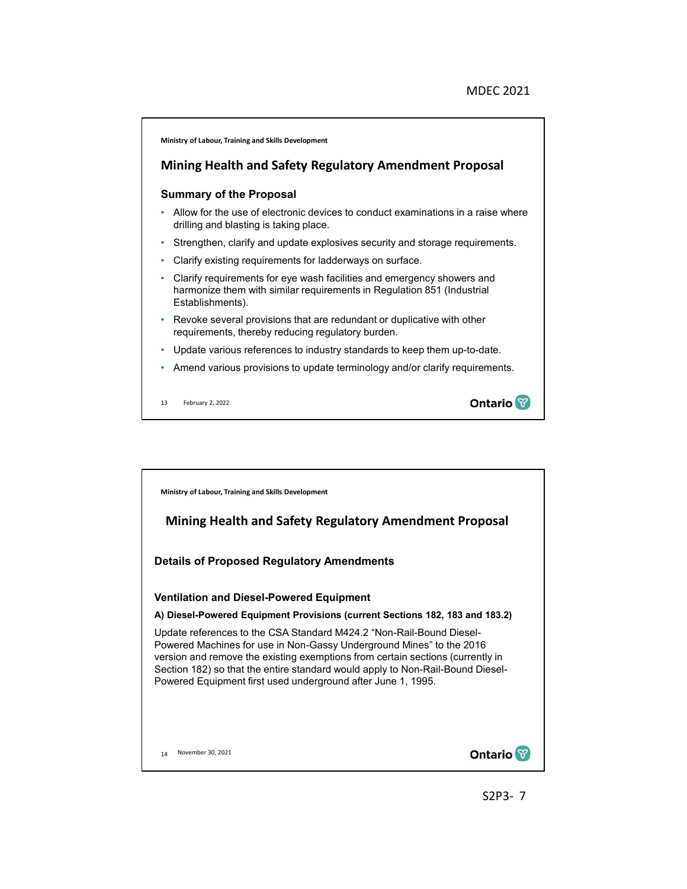

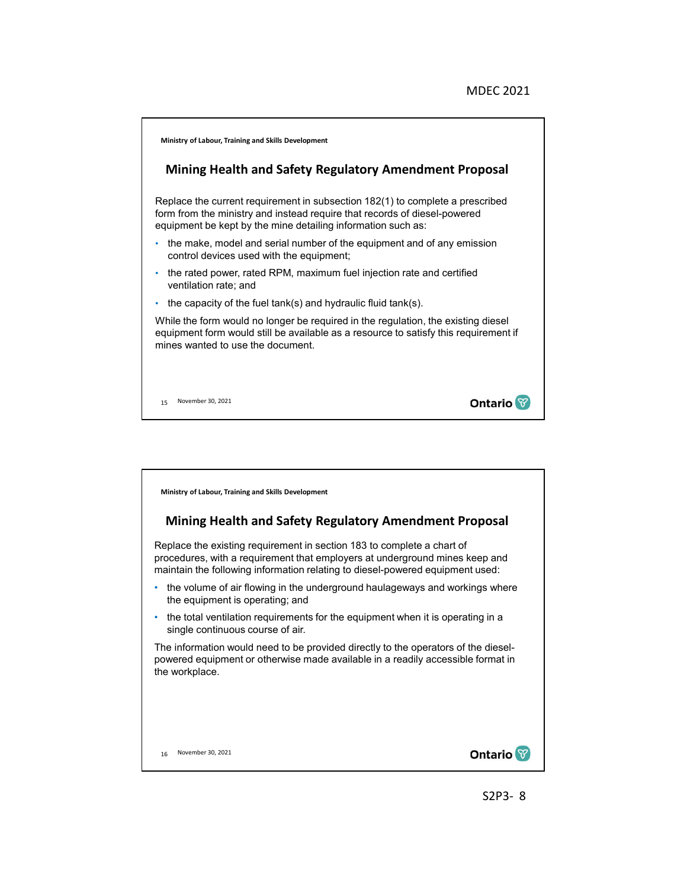

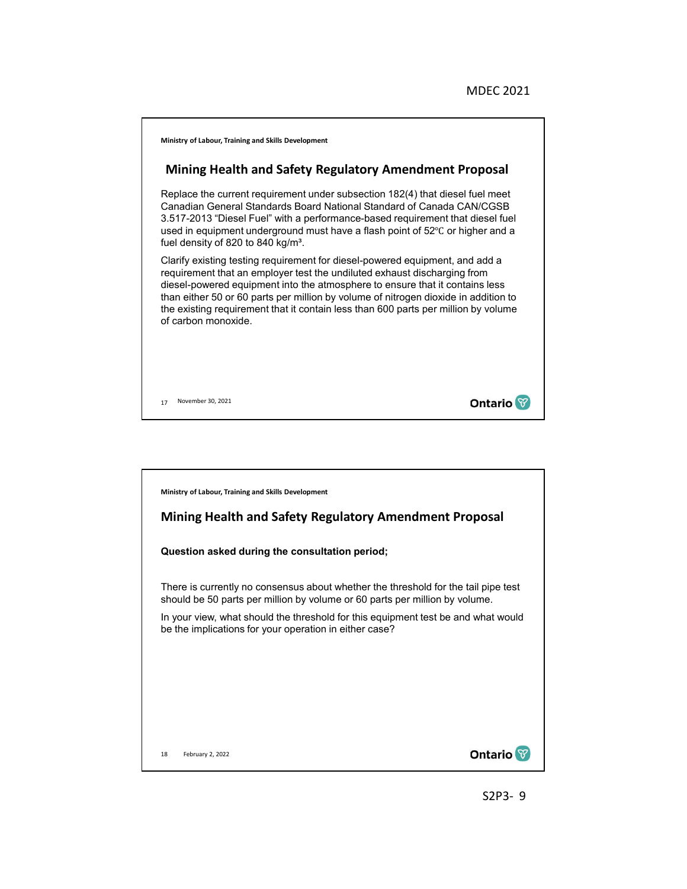

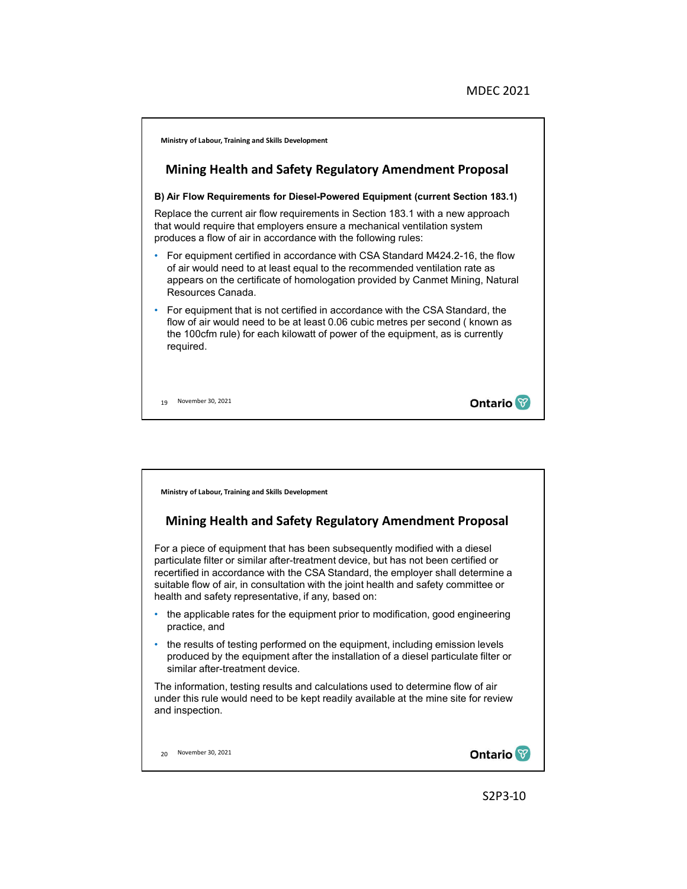

**Ministry of Labour, Training and Skills Development**

## **Mining Health and Safety Regulatory Amendment Proposal**

For a piece of equipment that has been subsequently modified with a diesel particulate filter or similar after-treatment device, but has not been certified or recertified in accordance with the CSA Standard, the employer shall determine a suitable flow of air, in consultation with the joint health and safety committee or health and safety representative, if any, based on:

- the applicable rates for the equipment prior to modification, good engineering practice, and
- the results of testing performed on the equipment, including emission levels produced by the equipment after the installation of a diesel particulate filter or similar after-treatment device.

The information, testing results and calculations used to determine flow of air under this rule would need to be kept readily available at the mine site for review and inspection.

20 November 30, 2021

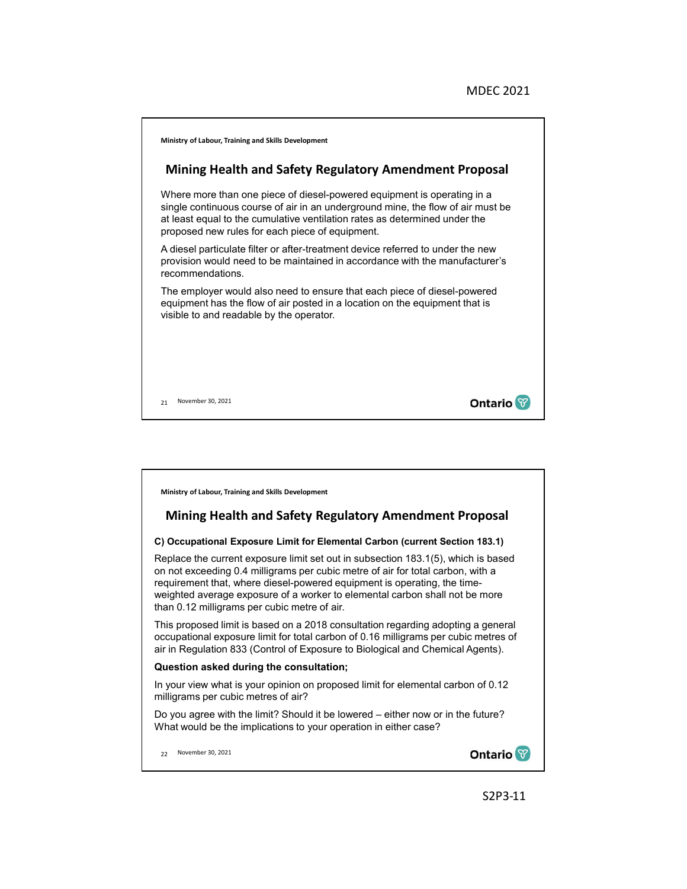



### **C) Occupational Exposure Limit for Elemental Carbon (current Section 183.1)**

Replace the current exposure limit set out in subsection 183.1(5), which is based on not exceeding 0.4 milligrams per cubic metre of air for total carbon, with a requirement that, where diesel-powered equipment is operating, the timeweighted average exposure of a worker to elemental carbon shall not be more than 0.12 milligrams per cubic metre of air.

This proposed limit is based on a 2018 consultation regarding adopting a general occupational exposure limit for total carbon of 0.16 milligrams per cubic metres of air in Regulation 833 (Control of Exposure to Biological and Chemical Agents).

#### **Question asked during the consultation;**

In your view what is your opinion on proposed limit for elemental carbon of 0.12 milligrams per cubic metres of air?

Do you agree with the limit? Should it be lowered – either now or in the future? What would be the implications to your operation in either case?

22 November 30, 2021

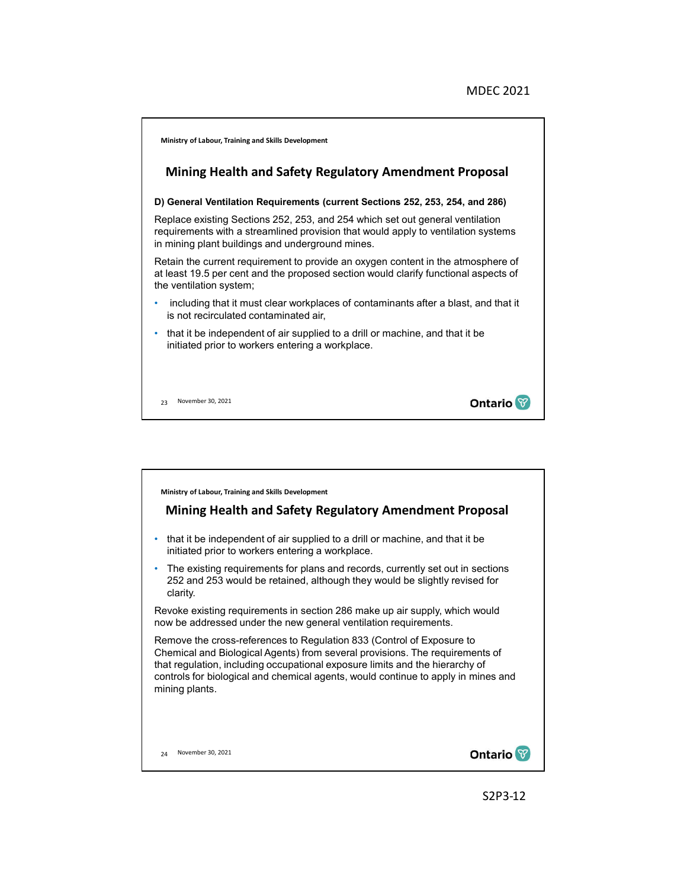

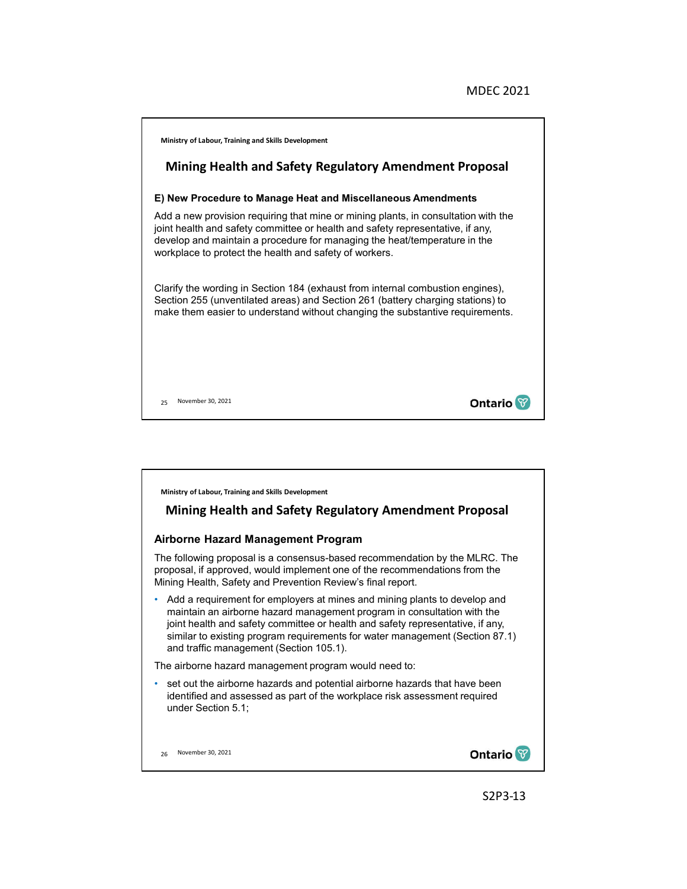

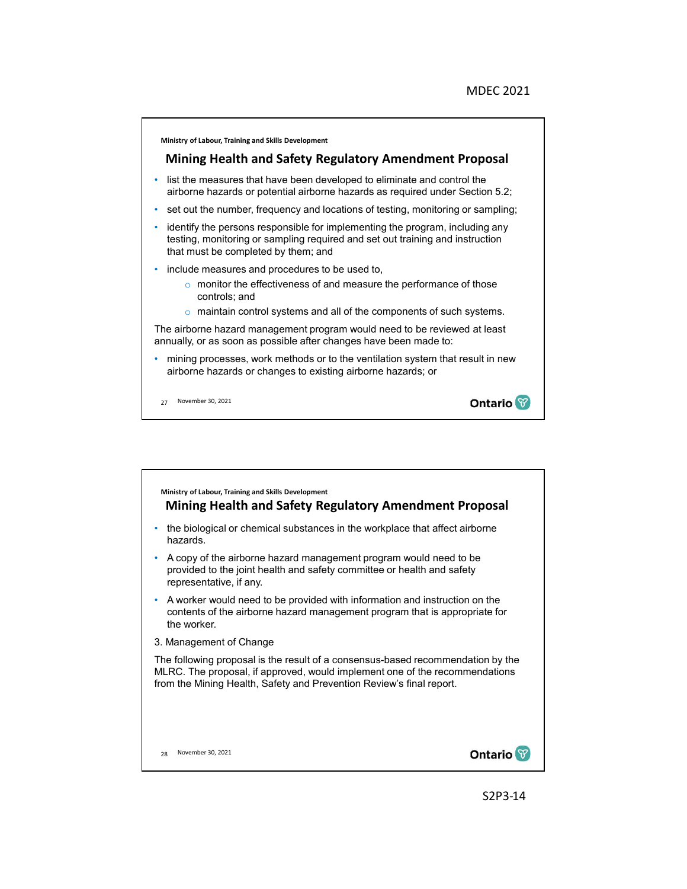

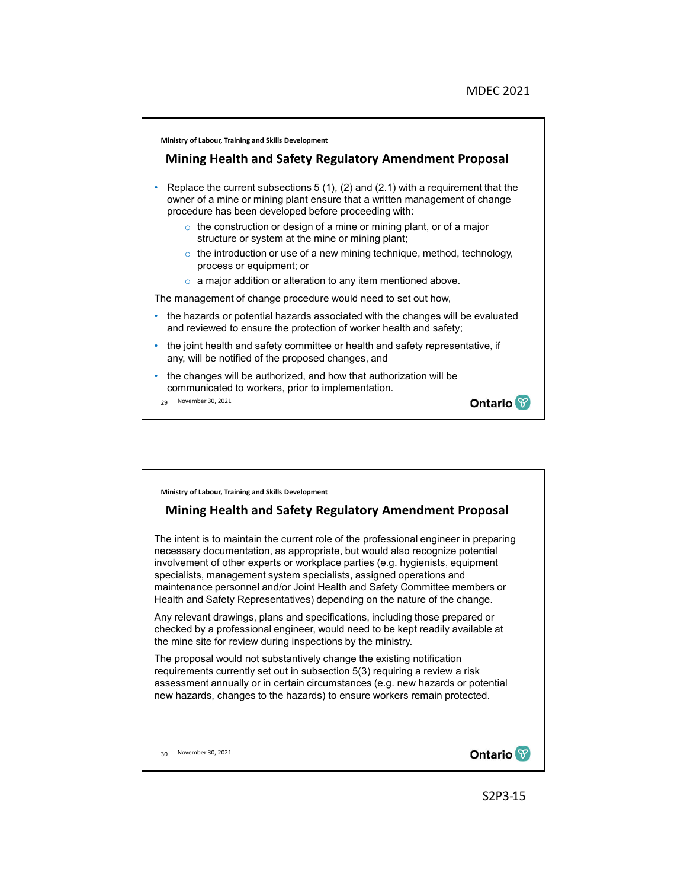